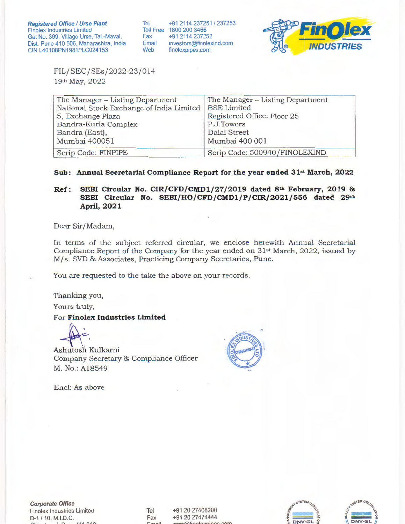Tel +91 2114 237251 / 237253 Toll Free 1800 200 3466<br>Fax +91 2114 23725 Fax +91 2114 237252<br>Email investors@finolex Email investors@finolexind.com<br>Web finolexpipes.com finolexpipes.com



FIL/SEC/SEs/2022-23/014 19th May, 2022

| The Manager – Listing Department                       | The Manager – Listing Department |
|--------------------------------------------------------|----------------------------------|
| National Stock Exchange of India Limited   BSE Limited |                                  |
| 5, Exchange Plaza                                      | Registered Office: Floor 25      |
| Bandra-Kurla Complex                                   | P.J.Towers                       |
| Bandra (East),                                         | <b>Dalal Street</b>              |
| Mumbai 400051                                          | Mumbai 400 001                   |
| Scrip Code: FINPIPE                                    | Scrip Code: 500940/FINOLEXIND    |

## **Sub: Annual Secretarial Compliance Report for the year ended 31st March, 2022**

## **Ref: SEBI Circular No. CIR/CFD/CMDl/27 /2019 dated 8th February, 2019** & **SEBI Circular No. SEBI/HO/CFD/CMDl/P/CIR/2021/556 dated 29th April, 2021**

Dear Sir/Madam,

In terms of the subject referred circular, we enclose herewith Annual Secretarial Compliance Report of the Company for the year ended on 31st March, 2022, issued by M/ s. SVD & Associates, Practicing Company Secretaries, Pune.

You are requested to the take the above on your records.

Thanking you,

Yours truly,

For **Finolex Industries Limited** 

Ashutosh Kulkarni Ashutosh Kulkarni<br>Company Secretary & Compliance Officer M. No.: Al8549



Encl: As above

**Corporate Office**  Finolex Industries Limited D-1 / 10, M.l.D.C.

Tel Fax **r::.,\_... .... :t**  +91 20 27408200 +91 20 27474444  $\alpha$ rominolovnings com



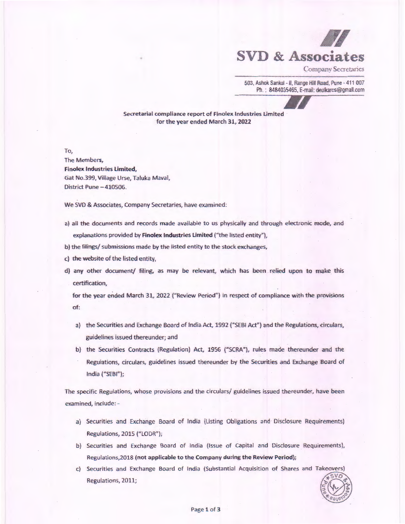

Company Secretaries

503, Ashok Sankul - II, Range Hill Road, Pune - 411 007 Ph. : 8484035465, E-mail: deulkarcs@gmail.com

Secretarial compliance report of Finolex Industries Limited for the year ended March 31, 2022

To,

The Members, Finolex Industries limited, Gat No.399, Village Urse, Taluka Mavai, District Pune - 410506.

We SVD & Associates, Company Secretaries, have examined:

- a) all the documents and records made available to us physically and through electronic mode, and explanations provided by Finolex Industries Limited ("the listed entity"),
- b) the filings/ submissions made by the listed entity to the stock exchanges,
- c) the website of the listed entity,
- d) any other document/ filing, as may be relevant, which has been relied upon to make this certification,

for the year ended March 31, 2022 ("Review Period"} in respect of compliance with the provisions of:

- a) the Securities and Exchange Board of India Act, 1992 {"SEBI Act"} and the Regulations, circulars, guidelines issued thereunder; and
- b) the Securities Contracts (Regulation) Act, 1956 ("SCRA"), rules made thereunder and the Regulations, circulars, guidelines issued thereunder by the Securities and Exchange Board of India ("SEBI");

The specific Regulations, whose provisions and the circulars/ guidelines issued thereunder, have been examined, include: -

- a) Securities and Exchange Board of India {Listing Obligations and Disclosure Requirements) Regulations, 2015 ("LODR");
- b) Securities and Exchange Board of India (Issue of Capital and Disclosure Requirements), Regulations,2018 (not applicable to the Company during the Review Period);
- c) Securities and Exchange Board of India (Substantial Acquisition of Shares and Takeovers) Regulations, 2011;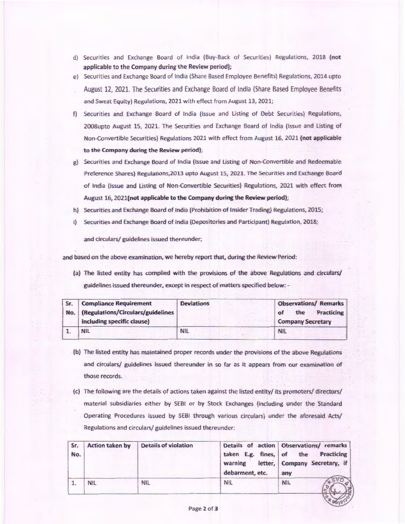- d) Securities and Exchange Board of India {Buy-Back of Securities) Regulations, 2018 (not applicable to the Company during the Review period};
- e) Securities and Exchange Board of India (Share Based Employee Benefits) Regulations, 2014 upto August 12, 2021. The Securities and Exchange Board of lndia (Share Based Employee Benefits and Sweat Equity) Regulations, 2021 with effect from August 13, 2021;
- f} Securities and Exchange Board of India (Issue and listing of Debt Securities) Regulations, 2008upto August 15, 2021. The Securities and Exchange Board of India {Issue and Listing of Non-Convertible Securities} Regulations 2021 with effect from August 16, 2021 (not applicable to the Company during the Review period);
- g) Securities and Exchange Board of India (Issue and Listing of Non-Convertible and Redeemable Preference Shares) Regulations,2013 upto August 15, 2021. The Securities and Exchange Board of India (Issue and listing of Non-Convertible Securities) Regulations, 2021 with effect from August 16, 2021(not applicable to the Company during the Review period);
- h) Securities and Exchange Board of India (Prohibition of Insider Trading) Regulations, 2015;
- i) Securities and Exchange Board of India (Depositories and Participant) Regulation, 2018;

and circulars/ guidelines issued thereunder;

and based on the above examination, we hereby report that, during the Review Period:

(a) The listed entity has complied with the provisions of the above Regulations and circulars/ guidelines issued thereunder, except in respect of matters specified below: -

| Sr. | <b>Compliance Requirement</b>         | <b>Deviations</b> | <b>Observations/ Remarks</b> |
|-----|---------------------------------------|-------------------|------------------------------|
|     | No. (Regulations/Circulars/guidelines |                   | the Practicing               |
|     | including specific clause)            |                   | <b>Company Secretary</b>     |
|     |                                       |                   | NH                           |

- (b) The listed entity has maintained proper records under the provisions of the above Regulations and circulars/ guidelines issued thereunder in so far as it appears from our examination of those records.
- (c) The following are the details of actions taken against the listed entity/ its promoters/ directors/ material subsidiaries either by SEBI or by Stock Exchanges (including under the Standard Operating Procedures issued by SEBI through various circulars) under the aforesaid Acts/ Regulations and circulars/ guidelines issued thereunder:

| Sr.<br>No. | <b>Action taken by</b> | <b>Details of violation</b> | taken E.g. fines,<br>letter,<br>warning<br>debarment, etc. | Details of action Observations/remarks<br>the<br>Practicing<br>of<br>Company Secretary, if<br>any |
|------------|------------------------|-----------------------------|------------------------------------------------------------|---------------------------------------------------------------------------------------------------|
|            | <b>NIL</b>             | <b>NIL</b>                  | <b>NIL</b>                                                 | <b>NIL</b>                                                                                        |